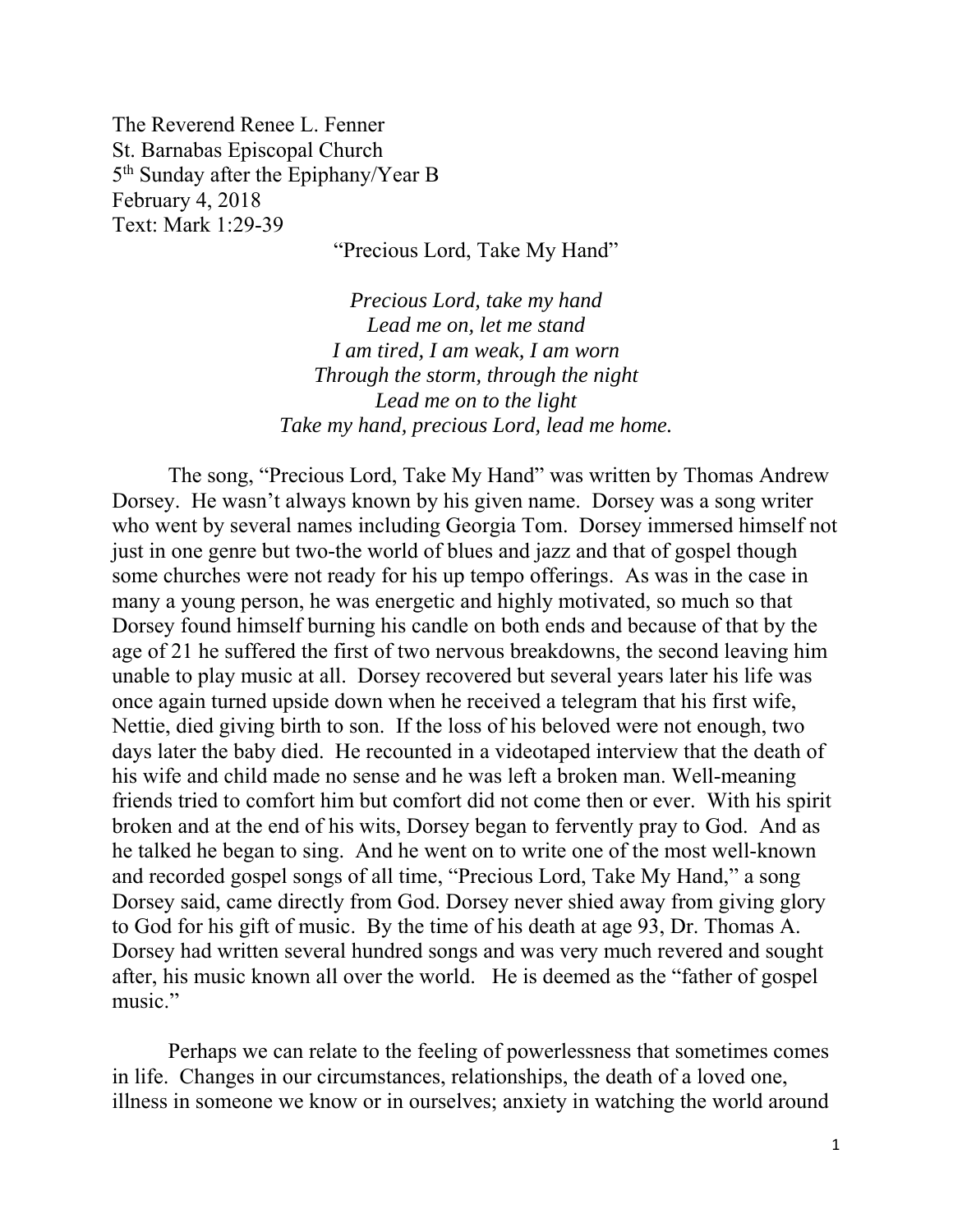The Reverend Renee L. Fenner St. Barnabas Episcopal Church 5<sup>th</sup> Sunday after the Epiphany/Year B February 4, 2018 Text: Mark 1:29-39

"Precious Lord, Take My Hand"

*Precious Lord, take my hand Lead me on, let me stand I am tired, I am weak, I am worn Through the storm, through the night Lead me on to the light Take my hand, precious Lord, lead me home.* 

 The song, "Precious Lord, Take My Hand" was written by Thomas Andrew Dorsey. He wasn't always known by his given name. Dorsey was a song writer who went by several names including Georgia Tom. Dorsey immersed himself not just in one genre but two-the world of blues and jazz and that of gospel though some churches were not ready for his up tempo offerings. As was in the case in many a young person, he was energetic and highly motivated, so much so that Dorsey found himself burning his candle on both ends and because of that by the age of 21 he suffered the first of two nervous breakdowns, the second leaving him unable to play music at all. Dorsey recovered but several years later his life was once again turned upside down when he received a telegram that his first wife, Nettie, died giving birth to son. If the loss of his beloved were not enough, two days later the baby died. He recounted in a videotaped interview that the death of his wife and child made no sense and he was left a broken man. Well-meaning friends tried to comfort him but comfort did not come then or ever. With his spirit broken and at the end of his wits, Dorsey began to fervently pray to God. And as he talked he began to sing. And he went on to write one of the most well-known and recorded gospel songs of all time, "Precious Lord, Take My Hand," a song Dorsey said, came directly from God. Dorsey never shied away from giving glory to God for his gift of music. By the time of his death at age 93, Dr. Thomas A. Dorsey had written several hundred songs and was very much revered and sought after, his music known all over the world. He is deemed as the "father of gospel music."

 Perhaps we can relate to the feeling of powerlessness that sometimes comes in life. Changes in our circumstances, relationships, the death of a loved one, illness in someone we know or in ourselves; anxiety in watching the world around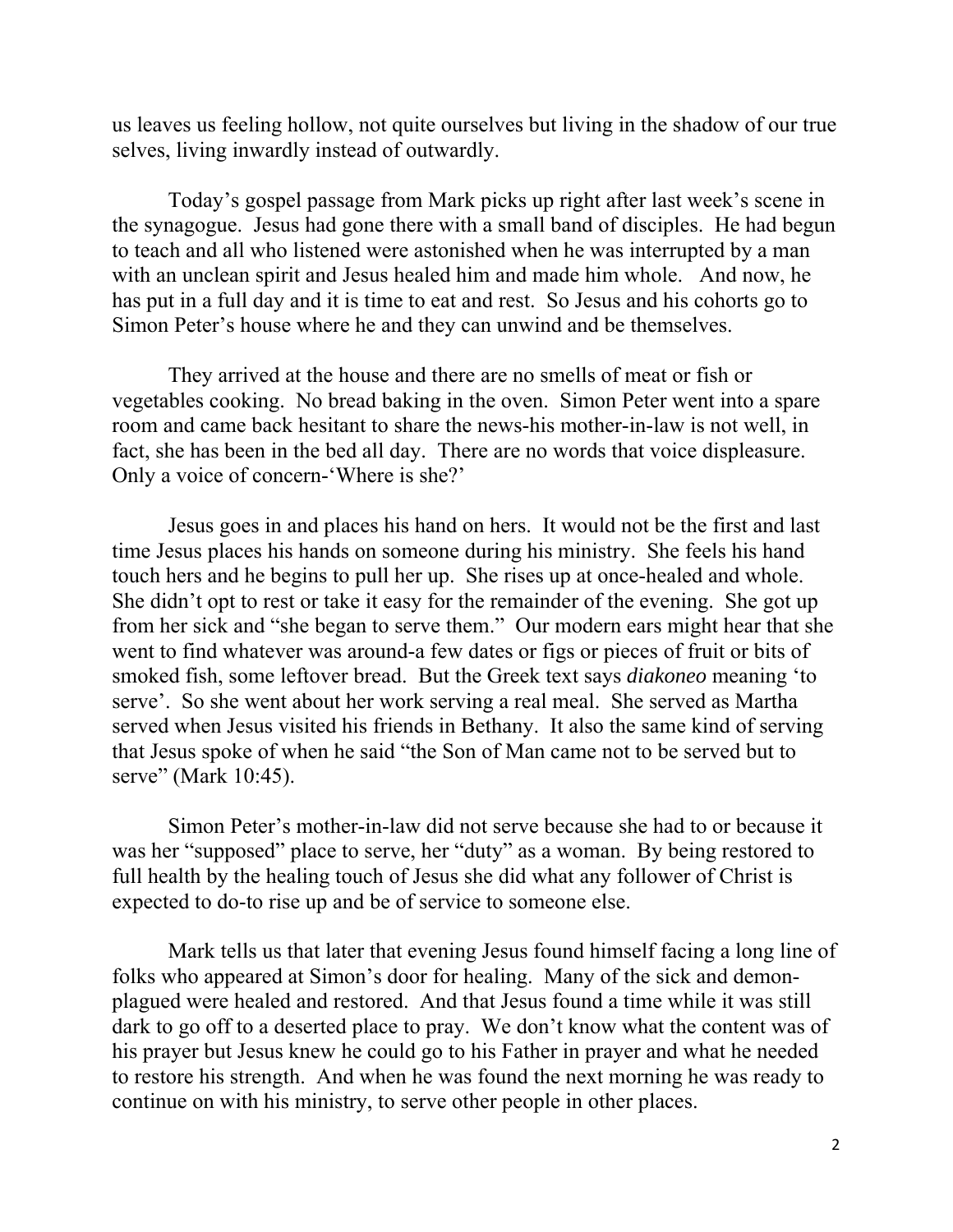us leaves us feeling hollow, not quite ourselves but living in the shadow of our true selves, living inwardly instead of outwardly.

 Today's gospel passage from Mark picks up right after last week's scene in the synagogue. Jesus had gone there with a small band of disciples. He had begun to teach and all who listened were astonished when he was interrupted by a man with an unclean spirit and Jesus healed him and made him whole. And now, he has put in a full day and it is time to eat and rest. So Jesus and his cohorts go to Simon Peter's house where he and they can unwind and be themselves.

 They arrived at the house and there are no smells of meat or fish or vegetables cooking. No bread baking in the oven. Simon Peter went into a spare room and came back hesitant to share the news-his mother-in-law is not well, in fact, she has been in the bed all day. There are no words that voice displeasure. Only a voice of concern-'Where is she?'

 Jesus goes in and places his hand on hers. It would not be the first and last time Jesus places his hands on someone during his ministry. She feels his hand touch hers and he begins to pull her up. She rises up at once-healed and whole. She didn't opt to rest or take it easy for the remainder of the evening. She got up from her sick and "she began to serve them." Our modern ears might hear that she went to find whatever was around-a few dates or figs or pieces of fruit or bits of smoked fish, some leftover bread. But the Greek text says *diakoneo* meaning 'to serve'. So she went about her work serving a real meal. She served as Martha served when Jesus visited his friends in Bethany. It also the same kind of serving that Jesus spoke of when he said "the Son of Man came not to be served but to serve" (Mark 10:45).

 Simon Peter's mother-in-law did not serve because she had to or because it was her "supposed" place to serve, her "duty" as a woman. By being restored to full health by the healing touch of Jesus she did what any follower of Christ is expected to do-to rise up and be of service to someone else.

 Mark tells us that later that evening Jesus found himself facing a long line of folks who appeared at Simon's door for healing. Many of the sick and demonplagued were healed and restored. And that Jesus found a time while it was still dark to go off to a deserted place to pray. We don't know what the content was of his prayer but Jesus knew he could go to his Father in prayer and what he needed to restore his strength. And when he was found the next morning he was ready to continue on with his ministry, to serve other people in other places.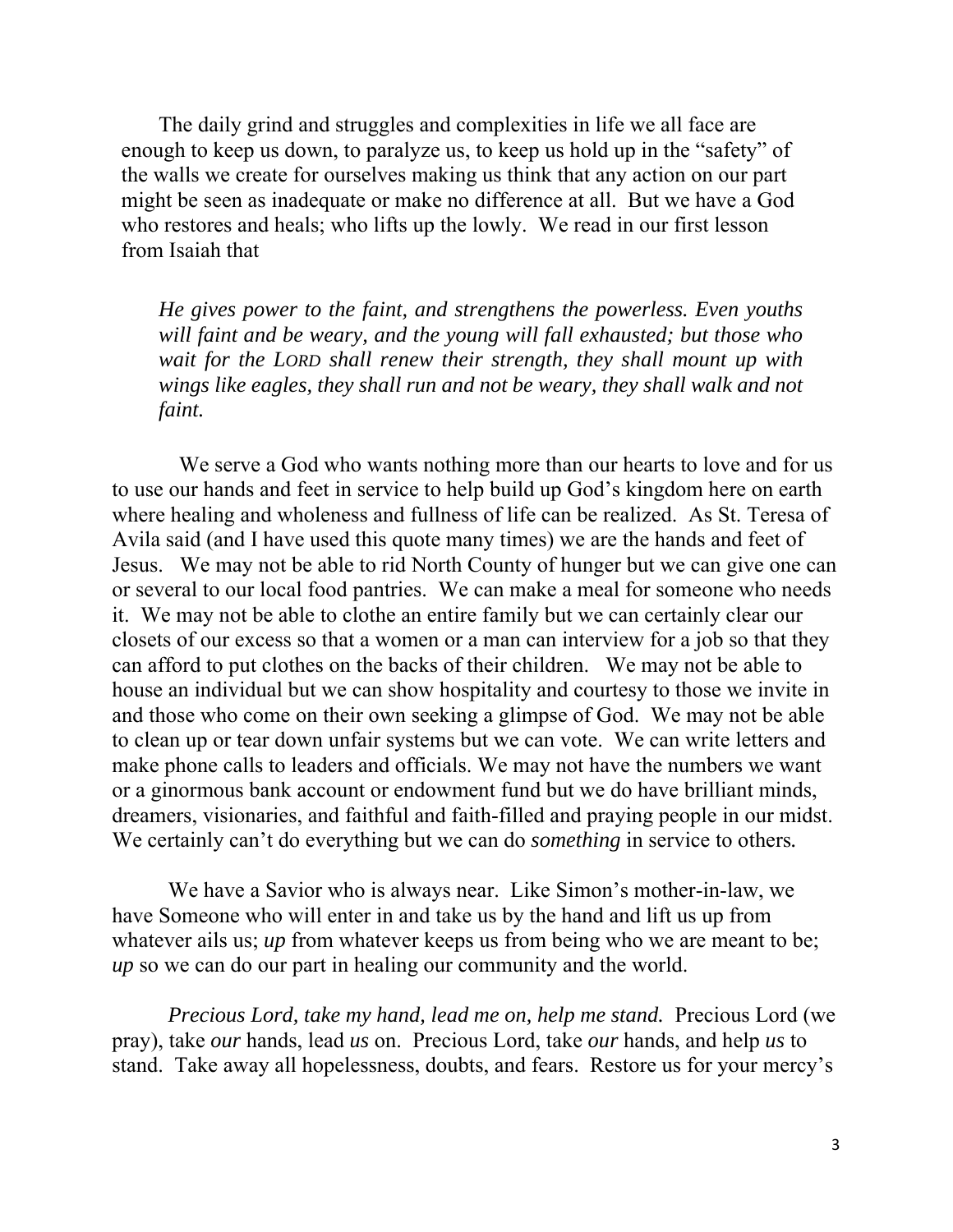The daily grind and struggles and complexities in life we all face are enough to keep us down, to paralyze us, to keep us hold up in the "safety" of the walls we create for ourselves making us think that any action on our part might be seen as inadequate or make no difference at all. But we have a God who restores and heals; who lifts up the lowly. We read in our first lesson from Isaiah that

*He gives power to the faint, and strengthens the powerless. Even youths will faint and be weary, and the young will fall exhausted; but those who wait for the LORD shall renew their strength, they shall mount up with wings like eagles, they shall run and not be weary, they shall walk and not faint.* 

 We serve a God who wants nothing more than our hearts to love and for us to use our hands and feet in service to help build up God's kingdom here on earth where healing and wholeness and fullness of life can be realized. As St. Teresa of Avila said (and I have used this quote many times) we are the hands and feet of Jesus. We may not be able to rid North County of hunger but we can give one can or several to our local food pantries. We can make a meal for someone who needs it. We may not be able to clothe an entire family but we can certainly clear our closets of our excess so that a women or a man can interview for a job so that they can afford to put clothes on the backs of their children. We may not be able to house an individual but we can show hospitality and courtesy to those we invite in and those who come on their own seeking a glimpse of God. We may not be able to clean up or tear down unfair systems but we can vote. We can write letters and make phone calls to leaders and officials. We may not have the numbers we want or a ginormous bank account or endowment fund but we do have brilliant minds, dreamers, visionaries, and faithful and faith-filled and praying people in our midst. We certainly can't do everything but we can do *something* in service to others*.*

We have a Savior who is always near. Like Simon's mother-in-law, we have Someone who will enter in and take us by the hand and lift us up from whatever ails us; *up* from whatever keeps us from being who we are meant to be; *up* so we can do our part in healing our community and the world.

*Precious Lord, take my hand, lead me on, help me stand.* Precious Lord (we pray), take *our* hands, lead *us* on. Precious Lord, take *our* hands, and help *us* to stand. Take away all hopelessness, doubts, and fears. Restore us for your mercy's